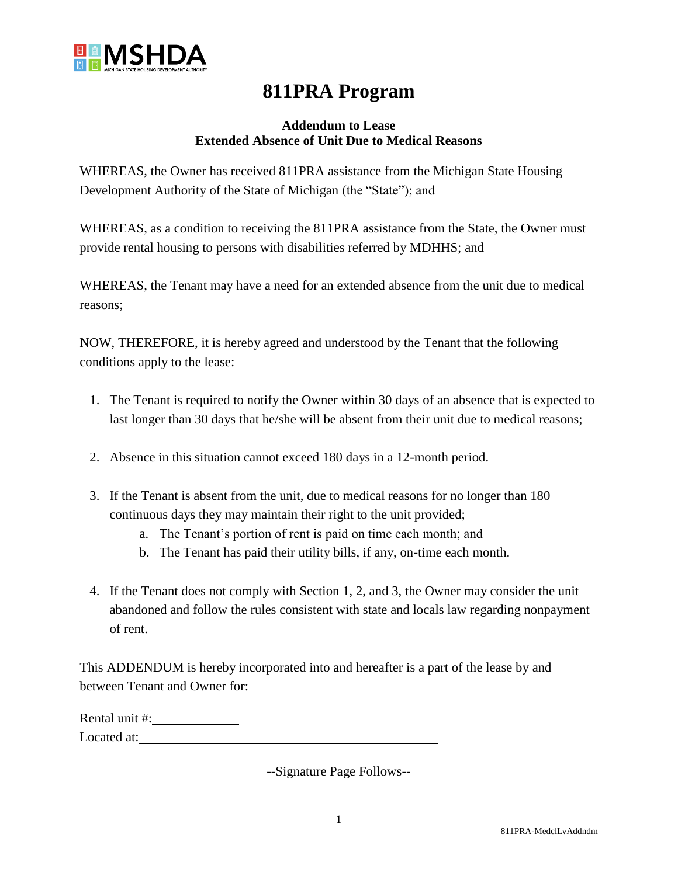

## **811PRA Program**

## **Addendum to Lease Extended Absence of Unit Due to Medical Reasons**

WHEREAS, the Owner has received 811PRA assistance from the Michigan State Housing Development Authority of the State of Michigan (the "State"); and

WHEREAS, as a condition to receiving the 811PRA assistance from the State, the Owner must provide rental housing to persons with disabilities referred by MDHHS; and

WHEREAS, the Tenant may have a need for an extended absence from the unit due to medical reasons;

NOW, THEREFORE, it is hereby agreed and understood by the Tenant that the following conditions apply to the lease:

- 1. The Tenant is required to notify the Owner within 30 days of an absence that is expected to last longer than 30 days that he/she will be absent from their unit due to medical reasons;
- 2. Absence in this situation cannot exceed 180 days in a 12-month period.
- 3. If the Tenant is absent from the unit, due to medical reasons for no longer than 180 continuous days they may maintain their right to the unit provided;
	- a. The Tenant's portion of rent is paid on time each month; and
	- b. The Tenant has paid their utility bills, if any, on-time each month.
- 4. If the Tenant does not comply with Section 1, 2, and 3, the Owner may consider the unit abandoned and follow the rules consistent with state and locals law regarding nonpayment of rent.

This ADDENDUM is hereby incorporated into and hereafter is a part of the lease by and between Tenant and Owner for:

Rental unit #: Located at:

--Signature Page Follows--